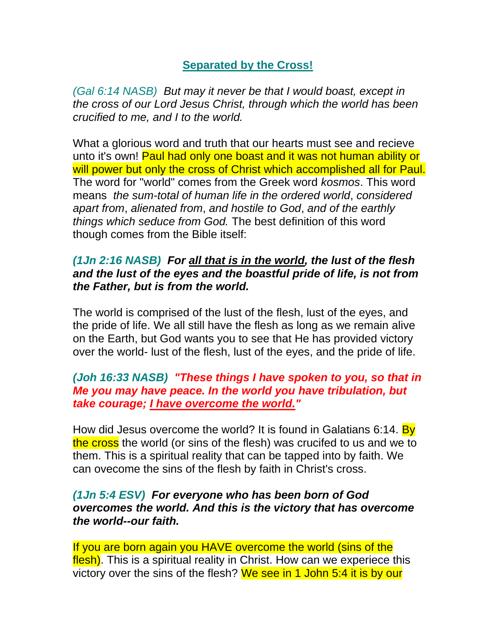## **Separated by the Cross!**

*(Gal 6:14 NASB) But may it never be that I would boast, except in the cross of our Lord Jesus Christ, through which the world has been crucified to me, and I to the world.*

What a glorious word and truth that our hearts must see and recieve unto it's own! Paul had only one boast and it was not human ability or will power but only the cross of Christ which accomplished all for Paul. The word for "world" comes from the Greek word *kosmos*. This word means *the sum-total of human life in the ordered world*, *considered apart from*, *alienated from*, *and hostile to God*, *and of the earthly things which seduce from God.* The best definition of this word though comes from the Bible itself:

## *(1Jn 2:16 NASB) For all that is in the world, the lust of the flesh and the lust of the eyes and the boastful pride of life, is not from the Father, but is from the world.*

The world is comprised of the lust of the flesh, lust of the eyes, and the pride of life. We all still have the flesh as long as we remain alive on the Earth, but God wants you to see that He has provided victory over the world- lust of the flesh, lust of the eyes, and the pride of life.

## *(Joh 16:33 NASB) "These things I have spoken to you, so that in Me you may have peace. In the world you have tribulation, but take courage; I have overcome the world."*

How did Jesus overcome the world? It is found in Galatians 6:14. By the cross the world (or sins of the flesh) was crucifed to us and we to them. This is a spiritual reality that can be tapped into by faith. We can ovecome the sins of the flesh by faith in Christ's cross.

## *(1Jn 5:4 ESV) For everyone who has been born of God overcomes the world. And this is the victory that has overcome the world--our faith.*

If you are born again you HAVE overcome the world (sins of the flesh). This is a spiritual reality in Christ. How can we experiece this victory over the sins of the flesh? We see in 1 John 5:4 it is by our